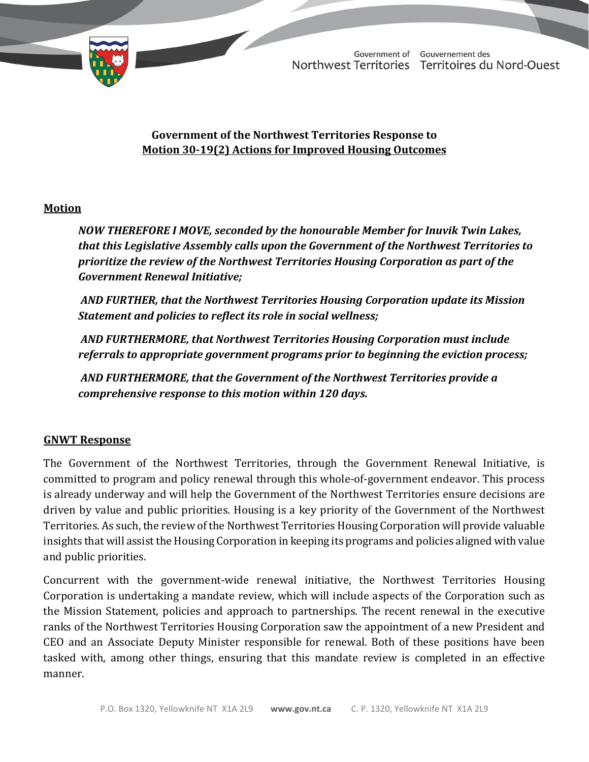

TD 456-19(2) TABLED ON NOVEMBER 22, 2021

Government of Gouvernement des Northwest Territories Territoires du Nord-Ouest

## **Government of the Northwest Territories Response to Motion 30-19(2) Actions for Improved Housing Outcomes**

## **Motion**

*NOW THEREFORE I MOVE, seconded by the honourable Member for Inuvik Twin Lakes, that this Legislative Assembly calls upon the Government of the Northwest Territories to prioritize the review of the Northwest Territories Housing Corporation as part of the Government Renewal Initiative;* 

*AND FURTHER, that the Northwest Territories Housing Corporation update its Mission Statement and policies to reflect its role in social wellness;* 

*AND FURTHERMORE, that Northwest Territories Housing Corporation must include referrals to appropriate government programs prior to beginning the eviction process;* 

 *AND FURTHERMORE, that the Government of the Northwest Territories provide a comprehensive response to this motion within 120 days.* 

## **GNWT Response**

The Government of the Northwest Territories, through the Government Renewal Initiative, is committed to program and policy renewal through this whole-of-government endeavor. This process is already underway and will help the Government of the Northwest Territories ensure decisions are driven by value and public priorities. Housing is a key priority of the Government of the Northwest Territories. As such, the review of the Northwest Territories Housing Corporation will provide valuable insights that will assist the Housing Corporation in keeping its programs and policies aligned with value and public priorities.

Concurrent with the government-wide renewal initiative, the Northwest Territories Housing Corporation is undertaking a mandate review, which will include aspects of the Corporation such as the Mission Statement, policies and approach to partnerships. The recent renewal in the executive ranks of the Northwest Territories Housing Corporation saw the appointment of a new President and CEO and an Associate Deputy Minister responsible for renewal. Both of these positions have been tasked with, among other things, ensuring that this mandate review is completed in an effective manner.